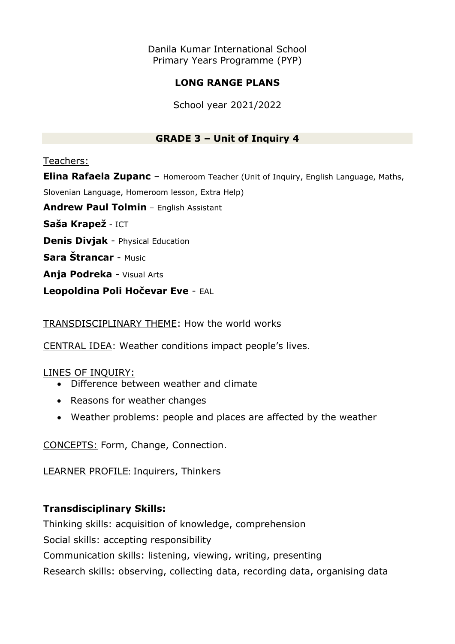Danila Kumar International School Primary Years Programme (PYP)

# **LONG RANGE PLANS**

School year 2021/2022

# **GRADE 3 – Unit of Inquiry 4**

### Teachers:

**Elina Rafaela Zupanc** – Homeroom Teacher (Unit of Inquiry, English Language, Maths, Slovenian Language, Homeroom lesson, Extra Help) **Andrew Paul Tolmin** – English Assistant

**Saša Krapež** - ICT

**Denis Divjak** - Physical Education

**Sara Štrancar** - Music

**Anja Podreka -** Visual Arts

**Leopoldina Poli Hočevar Eve** - EAL

TRANSDISCIPLINARY THEME: How the world works

CENTRAL IDEA: Weather conditions impact people's lives.

## LINES OF INQUIRY:

- Difference between weather and climate
- Reasons for weather changes
- Weather problems: people and places are affected by the weather

CONCEPTS: Form, Change, Connection.

LEARNER PROFILE: Inquirers, Thinkers

## **Transdisciplinary Skills:**

Thinking skills: acquisition of knowledge, comprehension

Social skills: accepting responsibility

Communication skills: listening, viewing, writing, presenting

Research skills: observing, collecting data, recording data, organising data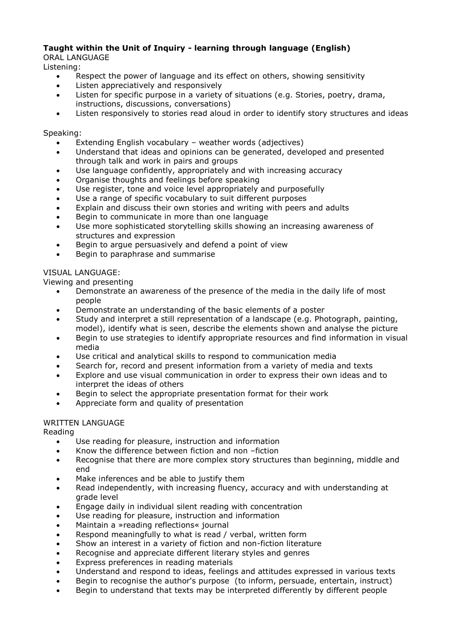### **Taught within the Unit of Inquiry - learning through language (English)**

ORAL LANGUAGE

Listening:

- Respect the power of language and its effect on others, showing sensitivity
- Listen appreciatively and responsively
- Listen for specific purpose in a variety of situations (e.g. Stories, poetry, drama, instructions, discussions, conversations)
- Listen responsively to stories read aloud in order to identify story structures and ideas

#### Speaking:

- Extending English vocabulary weather words (adjectives)
- Understand that ideas and opinions can be generated, developed and presented through talk and work in pairs and groups
- Use language confidently, appropriately and with increasing accuracy
- Organise thoughts and feelings before speaking
- Use register, tone and voice level appropriately and purposefully
- Use a range of specific vocabulary to suit different purposes
- Explain and discuss their own stories and writing with peers and adults
- Begin to communicate in more than one language
- Use more sophisticated storytelling skills showing an increasing awareness of structures and expression
- Begin to argue persuasively and defend a point of view
- Begin to paraphrase and summarise

#### VISUAL LANGUAGE:

Viewing and presenting

- Demonstrate an awareness of the presence of the media in the daily life of most people
- Demonstrate an understanding of the basic elements of a poster
- Study and interpret a still representation of a landscape (e.g. Photograph, painting, model), identify what is seen, describe the elements shown and analyse the picture
- Begin to use strategies to identify appropriate resources and find information in visual media
- Use critical and analytical skills to respond to communication media
- Search for, record and present information from a variety of media and texts
- Explore and use visual communication in order to express their own ideas and to interpret the ideas of others
- Begin to select the appropriate presentation format for their work
- Appreciate form and quality of presentation

#### WRITTEN LANGUAGE

Reading

- Use reading for pleasure, instruction and information
- Know the difference between fiction and non –fiction
- Recognise that there are more complex story structures than beginning, middle and end
- Make inferences and be able to justify them
- Read independently, with increasing fluency, accuracy and with understanding at grade level
- Engage daily in individual silent reading with concentration
- Use reading for pleasure, instruction and information
- Maintain a »reading reflections« journal
- Respond meaningfully to what is read / verbal, written form
- Show an interest in a variety of fiction and non-fiction literature
- Recognise and appreciate different literary styles and genres
- Express preferences in reading materials
- Understand and respond to ideas, feelings and attitudes expressed in various texts
- Begin to recognise the author's purpose (to inform, persuade, entertain, instruct)
- Begin to understand that texts may be interpreted differently by different people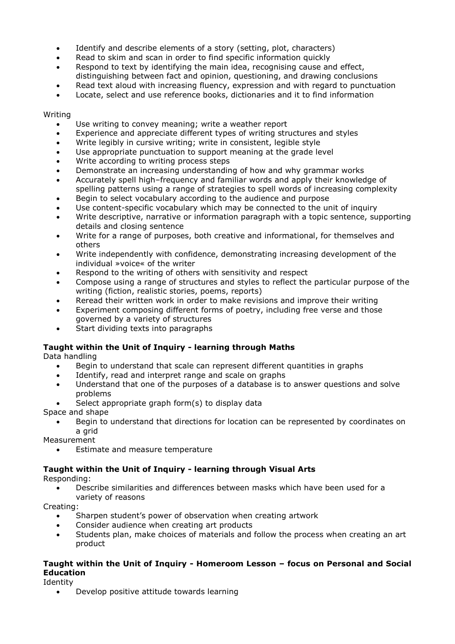- Identify and describe elements of a story (setting, plot, characters)
- Read to skim and scan in order to find specific information quickly
- Respond to text by identifying the main idea, recognising cause and effect, distinguishing between fact and opinion, questioning, and drawing conclusions
- Read text aloud with increasing fluency, expression and with regard to punctuation
- Locate, select and use reference books, dictionaries and it to find information

#### Writing

- Use writing to convey meaning; write a weather report
- Experience and appreciate different types of writing structures and styles
- Write legibly in cursive writing; write in consistent, legible style
- Use appropriate punctuation to support meaning at the grade level
- Write according to writing process steps
- Demonstrate an increasing understanding of how and why grammar works
- Accurately spell high–frequency and familiar words and apply their knowledge of spelling patterns using a range of strategies to spell words of increasing complexity
- Begin to select vocabulary according to the audience and purpose
- Use content-specific vocabulary which may be connected to the unit of inquiry
- Write descriptive, narrative or information paragraph with a topic sentence, supporting details and closing sentence
- Write for a range of purposes, both creative and informational, for themselves and others
- Write independently with confidence, demonstrating increasing development of the individual »voice« of the writer
- Respond to the writing of others with sensitivity and respect
- Compose using a range of structures and styles to reflect the particular purpose of the writing (fiction, realistic stories, poems, reports)
- Reread their written work in order to make revisions and improve their writing
- Experiment composing different forms of poetry, including free verse and those governed by a variety of structures
- Start dividing texts into paragraphs

### **Taught within the Unit of Inquiry - learning through Maths**

Data handling

- Begin to understand that scale can represent different quantities in graphs
- Identify, read and interpret range and scale on graphs
- Understand that one of the purposes of a database is to answer questions and solve problems
- Select appropriate graph form(s) to display data

Space and shape

 Begin to understand that directions for location can be represented by coordinates on a grid

Measurement

Estimate and measure temperature

### **Taught within the Unit of Inquiry - learning through Visual Arts**

Responding:

 Describe similarities and differences between masks which have been used for a variety of reasons

Creating:

- Sharpen student's power of observation when creating artwork
- Consider audience when creating art products
- Students plan, make choices of materials and follow the process when creating an art product

#### **Taught within the Unit of Inquiry - Homeroom Lesson – focus on Personal and Social Education**

Identity

Develop positive attitude towards learning